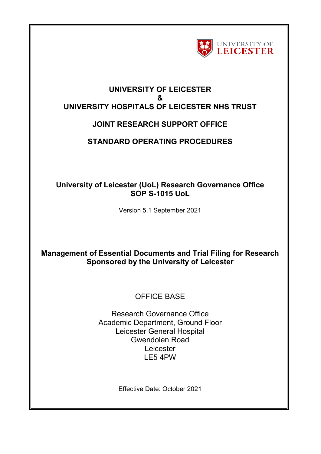

## **UNIVERSITY OF LEICESTER & UNIVERSITY HOSPITALS OF LEICESTER NHS TRUST**

# **JOINT RESEARCH SUPPORT OFFICE**

## **STANDARD OPERATING PROCEDURES**

## **University of Leicester (UoL) Research Governance Office SOP S-1015 UoL**

Version 5.1 September 2021

## **Management of Essential Documents and Trial Filing for Research Sponsored by the University of Leicester**

# OFFICE BASE

Research Governance Office Academic Department, Ground Floor Leicester General Hospital Gwendolen Road Leicester LE5 4PW

Effective Date: October 2021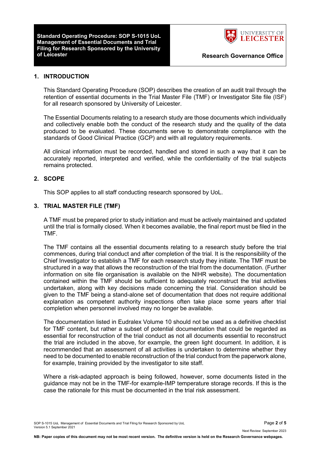**Standard Operating Procedure: SOP S-1015 UoL Management of Essential Documents and Trial Filing for Research Sponsored by the University of Leicester Research Governance Office** 



## **1. INTRODUCTION**

This Standard Operating Procedure (SOP) describes the creation of an audit trail through the retention of essential documents in the Trial Master File (TMF) or Investigator Site file (ISF) for all research sponsored by University of Leicester.

The Essential Documents relating to a research study are those documents which individually and collectively enable both the conduct of the research study and the quality of the data produced to be evaluated. These documents serve to demonstrate compliance with the standards of Good Clinical Practice (GCP) and with all regulatory requirements.

All clinical information must be recorded, handled and stored in such a way that it can be accurately reported, interpreted and verified, while the confidentiality of the trial subjects remains protected.

## **2. SCOPE**

This SOP applies to all staff conducting research sponsored by UoL.

### **3. TRIAL MASTER FILE (TMF)**

A TMF must be prepared prior to study initiation and must be actively maintained and updated until the trial is formally closed. When it becomes available, the final report must be filed in the TMF.

The TMF contains all the essential documents relating to a research study before the trial commences, during trial conduct and after completion of the trial. It is the responsibility of the Chief Investigator to establish a TMF for each research study they initiate. The TMF must be structured in a way that allows the reconstruction of the trial from the documentation. (Further information on site file organisation is available on the NIHR website). The documentation contained within the TMF should be sufficient to adequately reconstruct the trial activities undertaken, along with key decisions made concerning the trial. Consideration should be given to the TMF being a stand-alone set of documentation that does not require additional explanation as competent authority inspections often take place some years after trial completion when personnel involved may no longer be available.

The documentation listed in Eudralex Volume 10 should not be used as a definitive checklist for TMF content, but rather a subset of potential documentation that could be regarded as essential for reconstruction of the trial conduct as not all documents essential to reconstruct the trial are included in the above, for example, the green light document. In addition, it is recommended that an assessment of all activities is undertaken to determine whether they need to be documented to enable reconstruction of the trial conduct from the paperwork alone, for example, training provided by the investigator to site staff.

Where a risk-adapted approach is being followed, however, some documents listed in the guidance may not be in the TMF-for example-IMP temperature storage records. If this is the case the rationale for this must be documented in the trial risk assessment.

Next Review: September 2023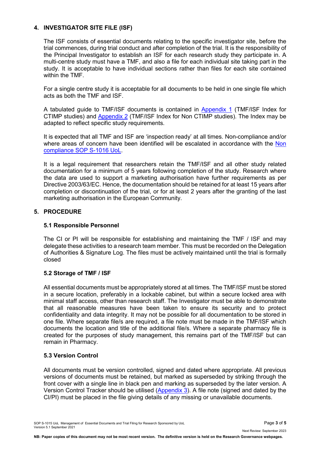## **4. INVESTIGATOR SITE FILE (ISF)**

The ISF consists of essential documents relating to the specific investigator site, before the trial commences, during trial conduct and after completion of the trial. It is the responsibility of the Principal Investigator to establish an ISF for each research study they participate in. A multi-centre study must have a TMF, and also a file for each individual site taking part in the study. It is acceptable to have individual sections rather than files for each site contained within the TMF.

For a single centre study it is acceptable for all documents to be held in one single file which acts as both the TMF and ISF.

A tabulated guide to TMF/ISF documents is contained in [Appendix 1](http://www2.le.ac.uk/colleges/medbiopsych/research/researchgovernance/Research_sponsorship/standard-operational-procedures-and-related-forms/sops/appendices/sop-s-1015/appendix-1-uol-tmf-isf-contents-ctimp-s-1015) (TMF/ISF Index for CTIMP studies) and [Appendix 2](http://www2.le.ac.uk/colleges/medbiopsych/research/researchgovernance/Research_sponsorship/standard-operational-procedures-and-related-forms/sops/appendices/sop-s-1015/appendix-2-uol-tmf-isf-contents-non-ctimp-s-1015) (TMF/ISF Index for Non CTIMP studies). The Index may be adapted to reflect specific study requirements.

It is expected that all TMF and ISF are 'inspection ready' at all times. Non-compliance and/or where areas of concern have been identified will be escalated in accordance with the Non [compliance SOP S-1016 UoL.](http://www2.le.ac.uk/colleges/medbiopsych/research/researchgovernance/Research_sponsorship/standard-operational-procedures-and-related-forms/sops/october-2013/sop-s-1016-procedure-in-event-of-non-compliance)

It is a legal requirement that researchers retain the TMF/ISF and all other study related documentation for a minimum of 5 years following completion of the study. Research where the data are used to support a marketing authorisation have further requirements as per Directive 2003/63/EC. Hence, the documentation should be retained for at least 15 years after completion or discontinuation of the trial, or for at least 2 years after the granting of the last marketing authorisation in the European Community.

### **5. PROCEDURE**

#### **5.1 Responsible Personnel**

The CI or PI will be responsible for establishing and maintaining the TMF / ISF and may delegate these activities to a research team member. This must be recorded on the Delegation of Authorities & Signature Log. The files must be actively maintained until the trial is formally closed

#### **5.2 Storage of TMF / ISF**

All essential documents must be appropriately stored at all times. The TMF/ISF must be stored in a secure location, preferably in a lockable cabinet, but within a secure locked area with minimal staff access, other than research staff. The Investigator must be able to demonstrate that all reasonable measures have been taken to ensure its security and to protect confidentiality and data integrity. It may not be possible for all documentation to be stored in one file. Where separate file/s are required, a file note must be made in the TMF/ISF which documents the location and title of the additional file/s. Where a separate pharmacy file is created for the purposes of study management, this remains part of the TMF/ISF but can remain in Pharmacy.

#### **5.3 Version Control**

All documents must be version controlled, signed and dated where appropriate. All previous versions of documents must be retained, but marked as superseded by striking through the front cover with a single line in black pen and marking as superseded by the later version. A Version Control Tracker should be utilised [\(Appendix 3\)](http://www2.le.ac.uk/colleges/medbiopsych/research/researchgovernance/Research_sponsorship/standard-operational-procedures-and-related-forms/sops/appendices/sop-s-1015/appendix-3-uol-version-control-tracker-s-1015). A file note (signed and dated by the CI/PI) must be placed in the file giving details of any missing or unavailable documents.

Next Review: September 2023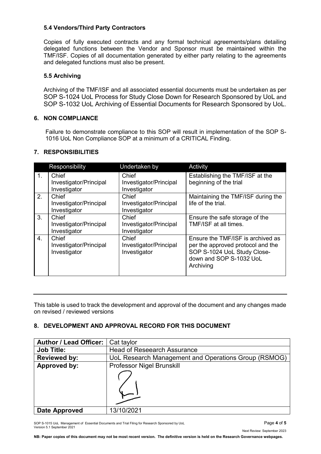### **5.4 Vendors/Third Party Contractors**

Copies of fully executed contracts and any formal technical agreements/plans detailing delegated functions between the Vendor and Sponsor must be maintained within the TMF/ISF. Copies of all documentation generated by either party relating to the agreements and delegated functions must also be present.

## **5.5 Archiving**

Archiving of the TMF/ISF and all associated essential documents must be undertaken as per SOP S-1024 UoL Process for Study Close Down for Research Sponsored by UoL and SOP S-1032 UoL Archiving of Essential Documents for Research Sponsored by UoL.

### **6. NON COMPLIANCE**

Failure to demonstrate compliance to this SOP will result in implementation of the SOP S-1016 UoL Non Compliance SOP at a minimum of a CRITICAL Finding.

## **7. RESPONSIBILITIES**

|                | Responsibility                                  | Undertaken by                                   | Activity                                                                                                                                      |
|----------------|-------------------------------------------------|-------------------------------------------------|-----------------------------------------------------------------------------------------------------------------------------------------------|
| $\mathbf{1}$ . | Chief<br>Investigator/Principal<br>Investigator | Chief<br>Investigator/Principal<br>Investigator | Establishing the TMF/ISF at the<br>beginning of the trial                                                                                     |
| 2.             | Chief<br>Investigator/Principal<br>Investigator | Chief<br>Investigator/Principal<br>Investigator | Maintaining the TMF/ISF during the<br>life of the trial.                                                                                      |
| 3.             | Chief<br>Investigator/Principal<br>Investigator | Chief<br>Investigator/Principal<br>Investigator | Ensure the safe storage of the<br>TMF/ISF at all times.                                                                                       |
| 4.             | Chief<br>Investigator/Principal<br>Investigator | Chief<br>Investigator/Principal<br>Investigator | Ensure the TMF/ISF is archived as<br>per the approved protocol and the<br>SOP S-1024 UoL Study Close-<br>down and SOP S-1032 UoL<br>Archiving |

This table is used to track the development and approval of the document and any changes made on revised / reviewed versions

## **8. DEVELOPMENT AND APPROVAL RECORD FOR THIS DOCUMENT**

| <b>Author / Lead Officer:</b> | Cat taylor                                           |
|-------------------------------|------------------------------------------------------|
| <b>Job Title:</b>             | <b>Head of Reseearch Assurance</b>                   |
| <b>Reviewed by:</b>           | UoL Research Management and Operations Group (RSMOG) |
| Approved by:                  | <b>Professor Nigel Brunskill</b>                     |
|                               |                                                      |
| Date Approved                 | 13/10/2021                                           |

SOP S-1015 UoL Management of Essential Documents and Trial Filing for Research Sponsored by UoL Page **4** of **5** Version 5.1 September 2021

Next Review: September 2023

**NB: Paper copies of this document may not be most recent version. The definitive version is held on the Research Governance webpages.**